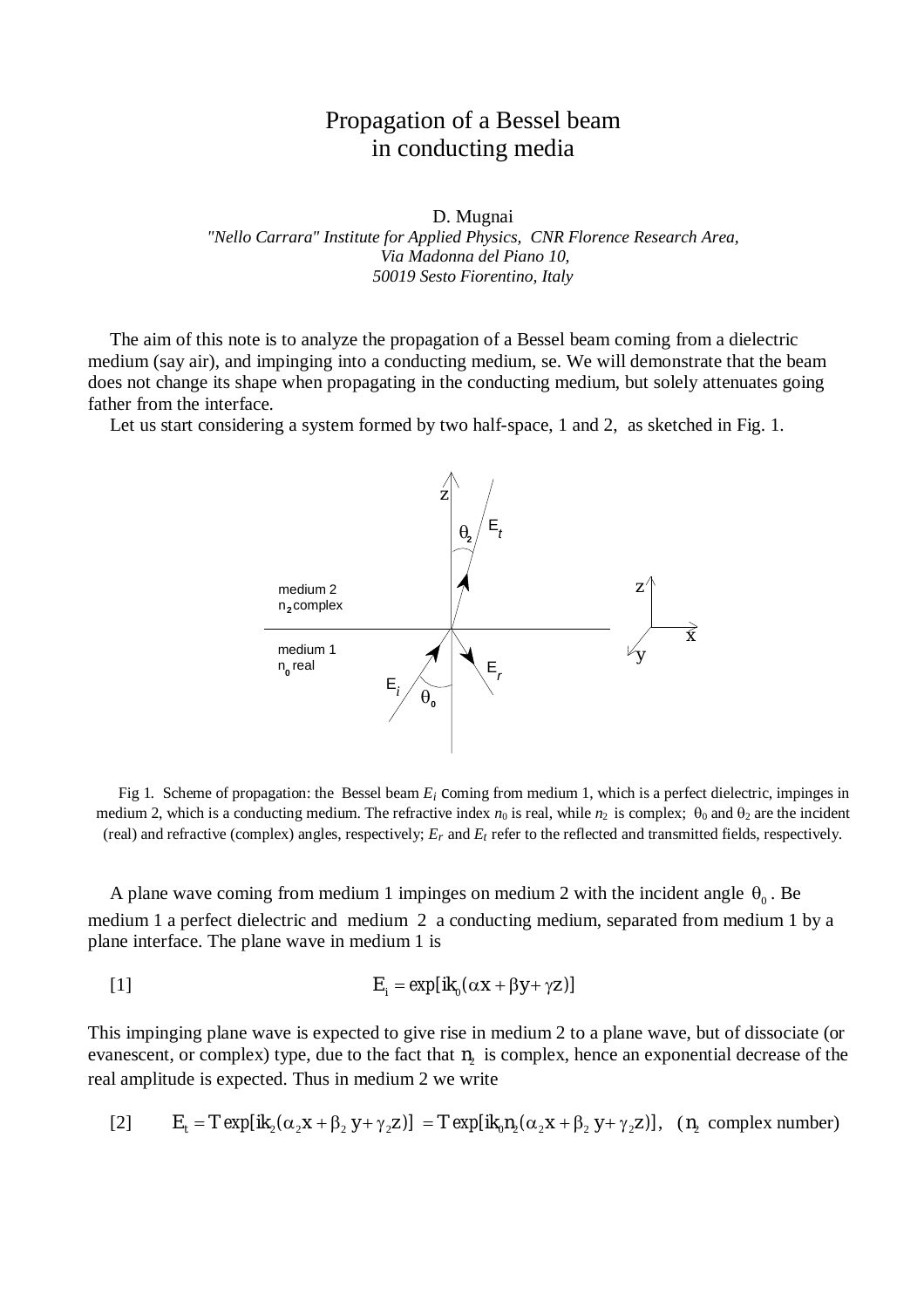## Propagation of a Bessel beam in conducting media

D. Mugnai

*"Nello Carrara" Institute for Applied Physics, CNR Florence Research Area, Via Madonna del Piano 10, 50019 Sesto Fiorentino, Italy*

The aim of this note is to analyze the propagation of a Bessel beam coming from a dielectric medium (say air), and impinging into a conducting medium, se. We will demonstrate that the beam does not change its shape when propagating in the conducting medium, but solely attenuates going father from the interface.

Let us start considering a system formed by two half-space, 1 and 2, as sketched in Fig. 1.



Fig 1*.* Scheme of propagation: the Bessel beam *E<sup>i</sup>* coming from medium 1, which is a perfect dielectric, impinges in medium 2, which is a conducting medium. The refractive index  $n_0$  is real, while  $n_2$  is complex;  $\theta_0$  and  $\theta_2$  are the incident (real) and refractive (complex) angles, respectively; *Er* and *Et* refer to the reflected and transmitted fields, respectively.

A plane wave coming from medium 1 impinges on medium 2 with the incident angle  $\theta_0$ . Be medium 1 a perfect dielectric and medium 2 a conducting medium, separated from medium 1 by a plane interface. The plane wave in medium 1 is

$$
E_i = \exp[ik_0(\alpha x + \beta y + \gamma z)]
$$

This impinging plane wave is expected to give rise in medium 2 to a plane wave, but of dissociate (or evanescent, or complex) type, due to the fact that  $n_2$  is complex, hence an exponential decrease of the real amplitude is expected. Thus in medium 2 we write

[2] 
$$
E_t = T \exp[i k_2(\alpha_2 x + \beta_2 y + \gamma_2 z)] = T \exp[i k_0 n_2(\alpha_2 x + \beta_2 y + \gamma_2 z)]
$$
,  $(n_2 \text{ complex number})$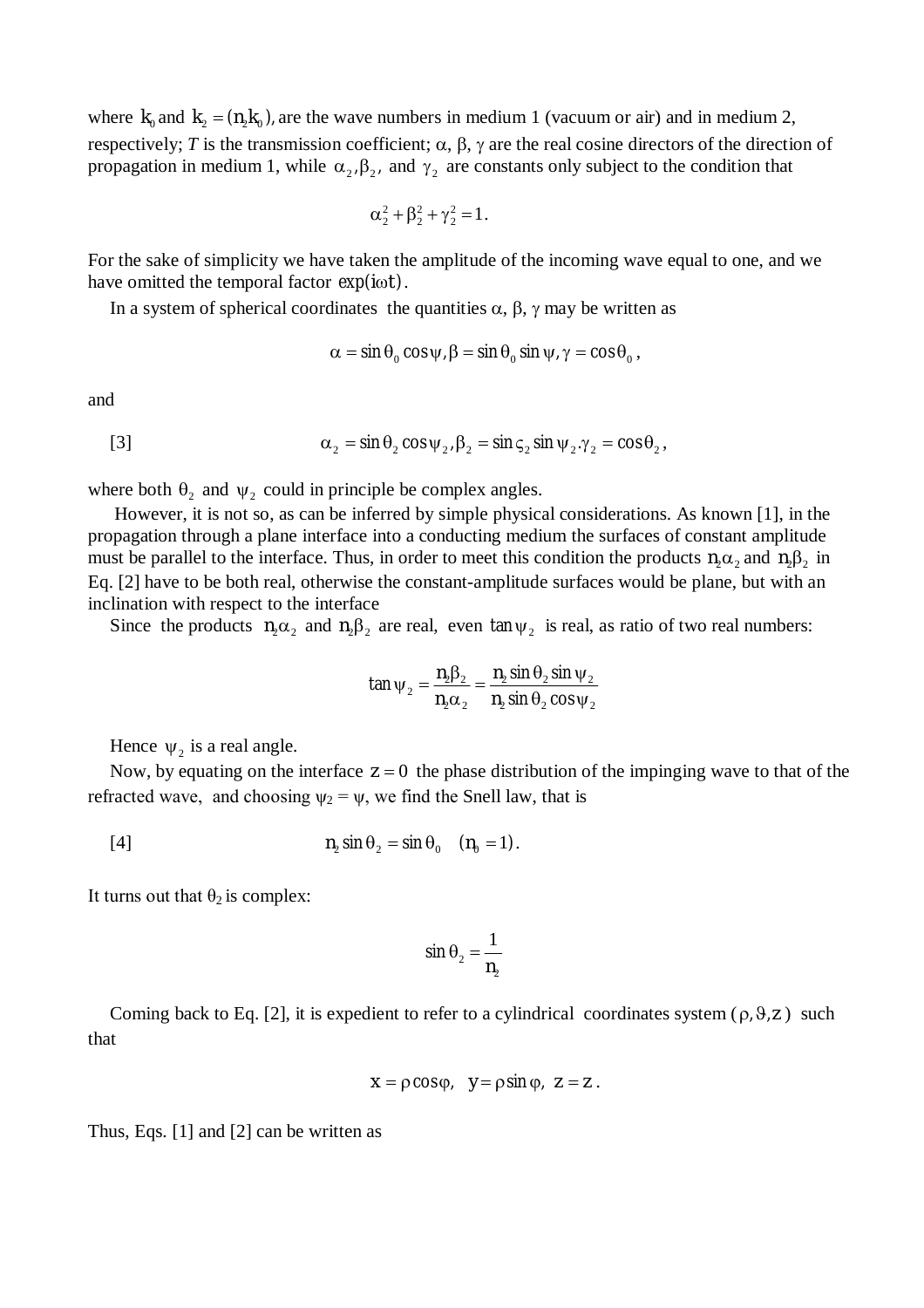where  $k_0$  and  $k_2 = (n_2 k_0)$ , are the wave numbers in medium 1 (vacuum or air) and in medium 2, respectively; *T* is the transmission coefficient;  $\alpha$ ,  $\beta$ ,  $\gamma$  are the real cosine directors of the direction of propagation in medium 1, while  $\alpha_2$ ,  $\beta_2$ , and  $\gamma_2$  are constants only subject to the condition that

$$
\alpha_2^2 + \beta_2^2 + \gamma_2^2 = 1.
$$

For the sake of simplicity we have taken the amplitude of the incoming wave equal to one, and we have omitted the temporal factor  $exp(i\omega t)$ .

In a system of spherical coordinates the quantities  $\alpha$ ,  $\beta$ ,  $\gamma$  may be written as

$$
\alpha = \sin \theta_0 \cos \psi, \beta = \sin \theta_0 \sin \psi, \gamma = \cos \theta_0,
$$

and

[3] 
$$
\alpha_2 = \sin \theta_2 \cos \psi_2, \beta_2 = \sin \zeta_2 \sin \psi_2, \gamma_2 = \cos \theta_2,
$$

where both  $\theta_2$  and  $\psi_2$  could in principle be complex angles.

However, it is not so, as can be inferred by simple physical considerations. As known [1], in the propagation through a plane interface into a conducting medium the surfaces of constant amplitude must be parallel to the interface. Thus, in order to meet this condition the products  $n_2\alpha_2$  and  $n_2\beta_2$  in Eq. [2] have to be both real, otherwise the constant-amplitude surfaces would be plane, but with an inclination with respect to the interface

Since the products  $n_2\alpha_2$  and  $n_2\beta_2$  are real, even  $\tan \psi_2$  is real, as ratio of two real numbers:

$$
\tan \psi_2 = \frac{n_2 \beta_2}{n_2 \alpha_2} = \frac{n_2 \sin \theta_2 \sin \psi_2}{n_2 \sin \theta_2 \cos \psi_2}
$$

Hence  $\psi_2$  is a real angle.

Now, by equating on the interface  $z = 0$  the phase distribution of the impinging wave to that of the refracted wave, and choosing  $\psi_2 = \psi$ , we find the Snell law, that is

$$
n_2 \sin \theta_2 = \sin \theta_0 \quad (n_0 = 1).
$$

It turns out that  $\theta_2$  is complex:

$$
\sin \theta_2 = \frac{1}{n_2}
$$

Coming back to Eq. [2], it is expedient to refer to a cylindrical coordinates system  $(\rho, \vartheta, z)$  such that

$$
x = \rho \cos \varphi, \quad y = \rho \sin \varphi, \quad z = z.
$$

Thus, Eqs. [1] and [2] can be written as